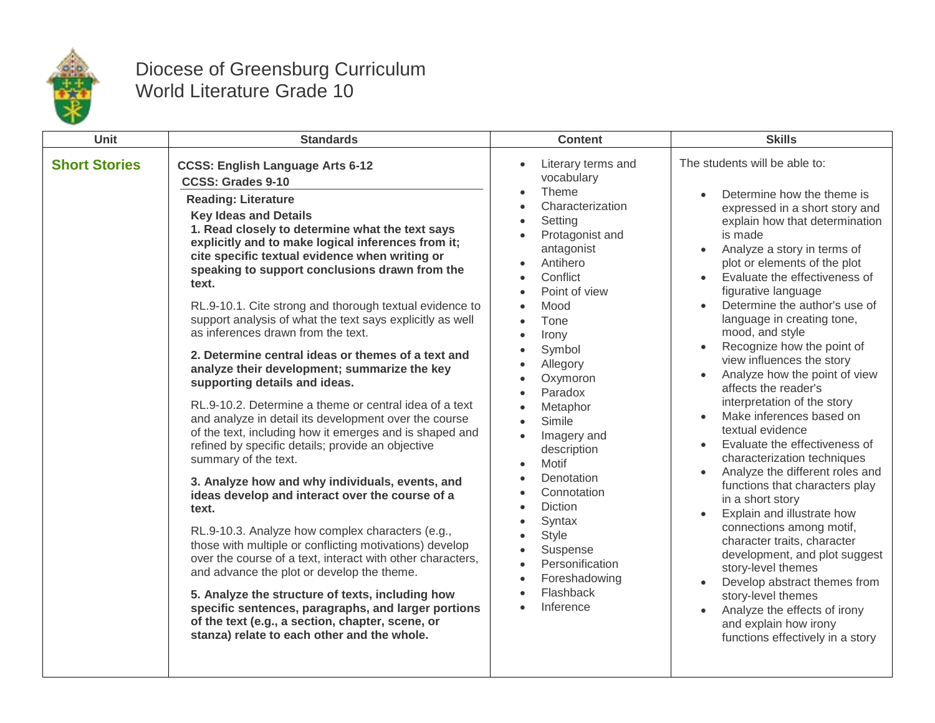

## Diocese of Greensburg Curriculum World Literature Grade 10

| <b>Unit</b>          | <b>Standards</b>                                                                                                                                                                                                                                                                                                                                                                                                                                                                                                                                                                                                                                                                                                                                                                                                                                                                                                                                                                                                                                                                                                                                                                                                                                                                                                                                                                                                                                                                | <b>Content</b>                                                                                                                                                                                                                                                                                                                                                                                                                                                                                                  | <b>Skills</b>                                                                                                                                                                                                                                                                                                                                                                                                                                                                                                                                                                                                                                                                                                                                                                                                                                                                                                                                                                                                                                                                       |
|----------------------|---------------------------------------------------------------------------------------------------------------------------------------------------------------------------------------------------------------------------------------------------------------------------------------------------------------------------------------------------------------------------------------------------------------------------------------------------------------------------------------------------------------------------------------------------------------------------------------------------------------------------------------------------------------------------------------------------------------------------------------------------------------------------------------------------------------------------------------------------------------------------------------------------------------------------------------------------------------------------------------------------------------------------------------------------------------------------------------------------------------------------------------------------------------------------------------------------------------------------------------------------------------------------------------------------------------------------------------------------------------------------------------------------------------------------------------------------------------------------------|-----------------------------------------------------------------------------------------------------------------------------------------------------------------------------------------------------------------------------------------------------------------------------------------------------------------------------------------------------------------------------------------------------------------------------------------------------------------------------------------------------------------|-------------------------------------------------------------------------------------------------------------------------------------------------------------------------------------------------------------------------------------------------------------------------------------------------------------------------------------------------------------------------------------------------------------------------------------------------------------------------------------------------------------------------------------------------------------------------------------------------------------------------------------------------------------------------------------------------------------------------------------------------------------------------------------------------------------------------------------------------------------------------------------------------------------------------------------------------------------------------------------------------------------------------------------------------------------------------------------|
| <b>Short Stories</b> | <b>CCSS: English Language Arts 6-12</b><br><b>CCSS: Grades 9-10</b><br><b>Reading: Literature</b><br><b>Key Ideas and Details</b><br>1. Read closely to determine what the text says<br>explicitly and to make logical inferences from it;<br>cite specific textual evidence when writing or<br>speaking to support conclusions drawn from the<br>text.<br>RL.9-10.1. Cite strong and thorough textual evidence to<br>support analysis of what the text says explicitly as well<br>as inferences drawn from the text.<br>2. Determine central ideas or themes of a text and<br>analyze their development; summarize the key<br>supporting details and ideas.<br>RL.9-10.2. Determine a theme or central idea of a text<br>and analyze in detail its development over the course<br>of the text, including how it emerges and is shaped and<br>refined by specific details; provide an objective<br>summary of the text.<br>3. Analyze how and why individuals, events, and<br>ideas develop and interact over the course of a<br>text.<br>RL.9-10.3. Analyze how complex characters (e.g.,<br>those with multiple or conflicting motivations) develop<br>over the course of a text, interact with other characters,<br>and advance the plot or develop the theme.<br>5. Analyze the structure of texts, including how<br>specific sentences, paragraphs, and larger portions<br>of the text (e.g., a section, chapter, scene, or<br>stanza) relate to each other and the whole. | Literary terms and<br>vocabulary<br>Theme<br>Characterization<br>Setting<br>$\bullet$<br>Protagonist and<br>antagonist<br>Antihero<br>Conflict<br>Point of view<br>Mood<br>$\bullet$<br>Tone<br>$\bullet$<br>Irony<br>$\bullet$<br>Symbol<br>Allegory<br>$\bullet$<br>Oxymoron<br>Paradox<br>Metaphor<br>Simile<br>Imagery and<br>description<br>Motif<br>$\bullet$<br>Denotation<br>Connotation<br>Diction<br>Syntax<br><b>Style</b><br>Suspense<br>Personification<br>Foreshadowing<br>Flashback<br>Inference | The students will be able to:<br>Determine how the theme is<br>expressed in a short story and<br>explain how that determination<br>is made<br>Analyze a story in terms of<br>$\bullet$<br>plot or elements of the plot<br>Evaluate the effectiveness of<br>figurative language<br>Determine the author's use of<br>language in creating tone,<br>mood, and style<br>Recognize how the point of<br>$\bullet$<br>view influences the story<br>Analyze how the point of view<br>$\bullet$<br>affects the reader's<br>interpretation of the story<br>Make inferences based on<br>$\bullet$<br>textual evidence<br>Evaluate the effectiveness of<br>$\bullet$<br>characterization techniques<br>Analyze the different roles and<br>functions that characters play<br>in a short story<br>Explain and illustrate how<br>connections among motif,<br>character traits, character<br>development, and plot suggest<br>story-level themes<br>Develop abstract themes from<br>story-level themes<br>Analyze the effects of irony<br>and explain how irony<br>functions effectively in a story |
|                      |                                                                                                                                                                                                                                                                                                                                                                                                                                                                                                                                                                                                                                                                                                                                                                                                                                                                                                                                                                                                                                                                                                                                                                                                                                                                                                                                                                                                                                                                                 |                                                                                                                                                                                                                                                                                                                                                                                                                                                                                                                 |                                                                                                                                                                                                                                                                                                                                                                                                                                                                                                                                                                                                                                                                                                                                                                                                                                                                                                                                                                                                                                                                                     |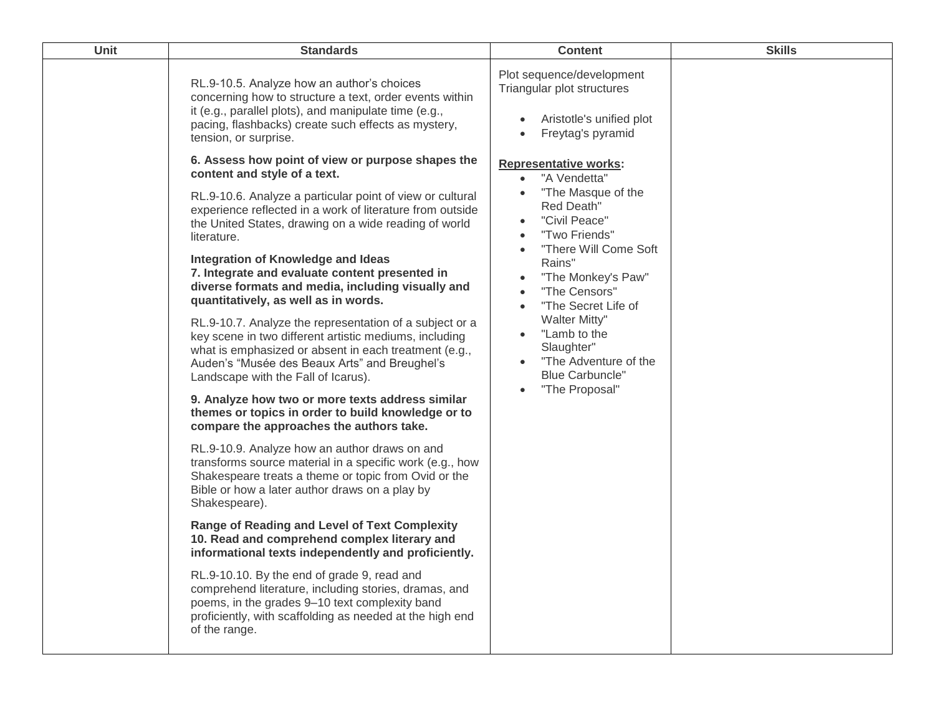| <b>Unit</b> | <b>Standards</b>                                                                                                                                                                                                                                                                                                                                                                                                                                                                                                                                                                                                                                                                                                                                                                                                                                                                                                                                                                                                                                                                                                                                                                                                                                                                                                                                                                                                                                                                                                                                   | <b>Content</b>                                                                                                                                                                                                                                                                                                                                                                                                                            | <b>Skills</b> |
|-------------|----------------------------------------------------------------------------------------------------------------------------------------------------------------------------------------------------------------------------------------------------------------------------------------------------------------------------------------------------------------------------------------------------------------------------------------------------------------------------------------------------------------------------------------------------------------------------------------------------------------------------------------------------------------------------------------------------------------------------------------------------------------------------------------------------------------------------------------------------------------------------------------------------------------------------------------------------------------------------------------------------------------------------------------------------------------------------------------------------------------------------------------------------------------------------------------------------------------------------------------------------------------------------------------------------------------------------------------------------------------------------------------------------------------------------------------------------------------------------------------------------------------------------------------------------|-------------------------------------------------------------------------------------------------------------------------------------------------------------------------------------------------------------------------------------------------------------------------------------------------------------------------------------------------------------------------------------------------------------------------------------------|---------------|
|             | RL.9-10.5. Analyze how an author's choices<br>concerning how to structure a text, order events within<br>it (e.g., parallel plots), and manipulate time (e.g.,<br>pacing, flashbacks) create such effects as mystery,<br>tension, or surprise.                                                                                                                                                                                                                                                                                                                                                                                                                                                                                                                                                                                                                                                                                                                                                                                                                                                                                                                                                                                                                                                                                                                                                                                                                                                                                                     | Plot sequence/development<br>Triangular plot structures<br>Aristotle's unified plot<br>Freytag's pyramid<br>$\bullet$                                                                                                                                                                                                                                                                                                                     |               |
|             | 6. Assess how point of view or purpose shapes the<br>content and style of a text.<br>RL.9-10.6. Analyze a particular point of view or cultural<br>experience reflected in a work of literature from outside<br>the United States, drawing on a wide reading of world<br>literature.<br>Integration of Knowledge and Ideas<br>7. Integrate and evaluate content presented in<br>diverse formats and media, including visually and<br>quantitatively, as well as in words.<br>RL.9-10.7. Analyze the representation of a subject or a<br>key scene in two different artistic mediums, including<br>what is emphasized or absent in each treatment (e.g.,<br>Auden's "Musée des Beaux Arts" and Breughel's<br>Landscape with the Fall of Icarus).<br>9. Analyze how two or more texts address similar<br>themes or topics in order to build knowledge or to<br>compare the approaches the authors take.<br>RL.9-10.9. Analyze how an author draws on and<br>transforms source material in a specific work (e.g., how<br>Shakespeare treats a theme or topic from Ovid or the<br>Bible or how a later author draws on a play by<br>Shakespeare).<br><b>Range of Reading and Level of Text Complexity</b><br>10. Read and comprehend complex literary and<br>informational texts independently and proficiently.<br>RL.9-10.10. By the end of grade 9, read and<br>comprehend literature, including stories, dramas, and<br>poems, in the grades 9-10 text complexity band<br>proficiently, with scaffolding as needed at the high end<br>of the range. | <b>Representative works:</b><br>"A Vendetta"<br>$\bullet$<br>"The Masque of the<br>Red Death"<br>"Civil Peace"<br>$\bullet$<br>"Two Friends"<br>$\bullet$<br>"There Will Come Soft<br>$\bullet$<br>Rains"<br>"The Monkey's Paw"<br>"The Censors"<br>"The Secret Life of<br>$\bullet$<br><b>Walter Mitty"</b><br>"Lamb to the<br>$\bullet$<br>Slaughter"<br>"The Adventure of the<br><b>Blue Carbuncle"</b><br>"The Proposal"<br>$\bullet$ |               |
|             |                                                                                                                                                                                                                                                                                                                                                                                                                                                                                                                                                                                                                                                                                                                                                                                                                                                                                                                                                                                                                                                                                                                                                                                                                                                                                                                                                                                                                                                                                                                                                    |                                                                                                                                                                                                                                                                                                                                                                                                                                           |               |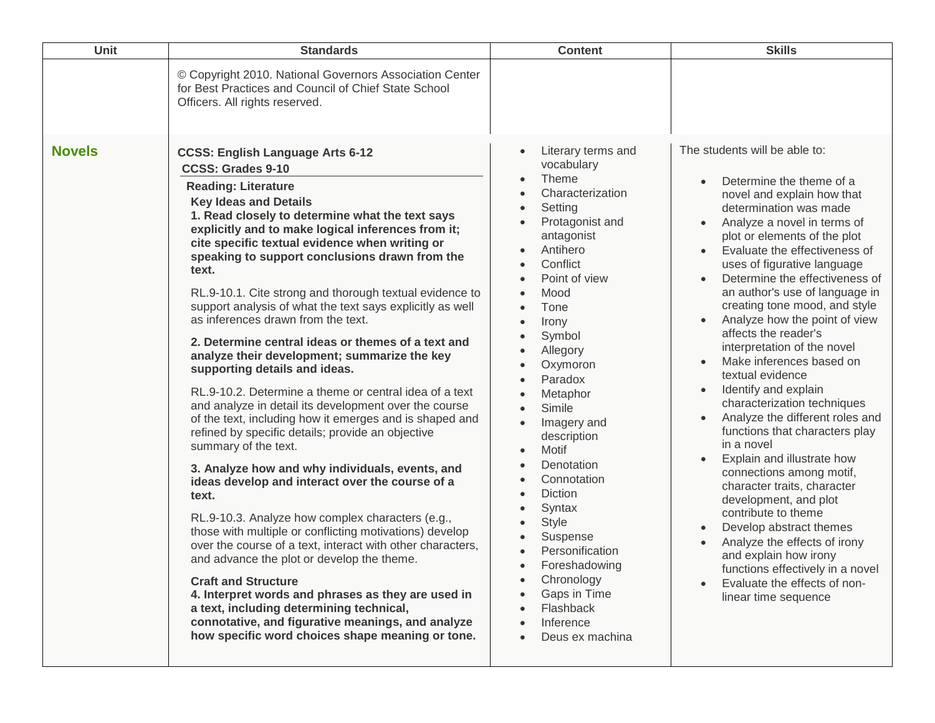| © Copyright 2010. National Governors Association Center<br>for Best Practices and Council of Chief State School<br>Officers. All rights reserved.<br>The students will be able to:<br><b>Novels</b><br>Literary terms and<br><b>CCSS: English Language Arts 6-12</b><br>vocabulary<br><b>CCSS: Grades 9-10</b><br>Theme<br>Determine the theme of a<br><b>Reading: Literature</b><br>Characterization<br>novel and explain how that<br>$\bullet$<br><b>Key Ideas and Details</b><br>Setting<br>determination was made<br>$\bullet$<br>1. Read closely to determine what the text says<br>Protagonist and<br>Analyze a novel in terms of<br>$\bullet$<br>explicitly and to make logical inferences from it;<br>antagonist<br>plot or elements of the plot<br>cite specific textual evidence when writing or<br>Antihero<br>Evaluate the effectiveness of<br>$\bullet$<br>speaking to support conclusions drawn from the<br>Conflict<br>uses of figurative language<br>$\bullet$<br>text.<br>Determine the effectiveness of<br>Point of view<br>$\bullet$<br>an author's use of language in<br>RL.9-10.1. Cite strong and thorough textual evidence to<br>Mood<br>creating tone mood, and style<br>support analysis of what the text says explicitly as well<br>Tone<br>$\bullet$<br>as inferences drawn from the text.<br>Analyze how the point of view<br>Irony<br>$\bullet$<br>affects the reader's<br>Symbol<br>2. Determine central ideas or themes of a text and<br>interpretation of the novel<br>Allegory<br>$\bullet$<br>analyze their development; summarize the key<br>Make inferences based on<br>Oxymoron<br>$\bullet$<br>supporting details and ideas.<br>textual evidence<br>Paradox<br>Identify and explain<br>RL.9-10.2. Determine a theme or central idea of a text<br>$\bullet$<br>Metaphor<br>characterization techniques<br>and analyze in detail its development over the course<br>Simile<br>Analyze the different roles and<br>of the text, including how it emerges and is shaped and<br>Imagery and<br>functions that characters play<br>refined by specific details; provide an objective<br>description | <b>Unit</b> | <b>Standards</b>     | <b>Content</b> | <b>Skills</b> |
|-----------------------------------------------------------------------------------------------------------------------------------------------------------------------------------------------------------------------------------------------------------------------------------------------------------------------------------------------------------------------------------------------------------------------------------------------------------------------------------------------------------------------------------------------------------------------------------------------------------------------------------------------------------------------------------------------------------------------------------------------------------------------------------------------------------------------------------------------------------------------------------------------------------------------------------------------------------------------------------------------------------------------------------------------------------------------------------------------------------------------------------------------------------------------------------------------------------------------------------------------------------------------------------------------------------------------------------------------------------------------------------------------------------------------------------------------------------------------------------------------------------------------------------------------------------------------------------------------------------------------------------------------------------------------------------------------------------------------------------------------------------------------------------------------------------------------------------------------------------------------------------------------------------------------------------------------------------------------------------------------------------------------------------------------------------------------------------------------------------------------------------|-------------|----------------------|----------------|---------------|
|                                                                                                                                                                                                                                                                                                                                                                                                                                                                                                                                                                                                                                                                                                                                                                                                                                                                                                                                                                                                                                                                                                                                                                                                                                                                                                                                                                                                                                                                                                                                                                                                                                                                                                                                                                                                                                                                                                                                                                                                                                                                                                                                   |             |                      |                |               |
| Motif<br>$\bullet$<br>Explain and illustrate how<br>$\bullet$<br>Denotation<br>3. Analyze how and why individuals, events, and<br>connections among motif,<br>Connotation<br>ideas develop and interact over the course of a<br>character traits, character<br><b>Diction</b><br>$\bullet$<br>text.<br>development, and plot<br>Syntax<br>contribute to theme<br>RL.9-10.3. Analyze how complex characters (e.g.,<br><b>Style</b><br>Develop abstract themes<br>those with multiple or conflicting motivations) develop<br>Suspense<br>$\bullet$<br>Analyze the effects of irony<br>over the course of a text, interact with other characters,<br>Personification<br>$\bullet$<br>and explain how irony<br>and advance the plot or develop the theme.<br>Foreshadowing<br>functions effectively in a novel<br>Chronology<br><b>Craft and Structure</b><br>Evaluate the effects of non-<br>Gaps in Time<br>4. Interpret words and phrases as they are used in<br>linear time sequence<br>a text, including determining technical,<br>Flashback<br>connotative, and figurative meanings, and analyze<br>Inference<br>how specific word choices shape meaning or tone.<br>Deus ex machina                                                                                                                                                                                                                                                                                                                                                                                                                                                                                                                                                                                                                                                                                                                                                                                                                                                                                                                                            |             | summary of the text. |                | in a novel    |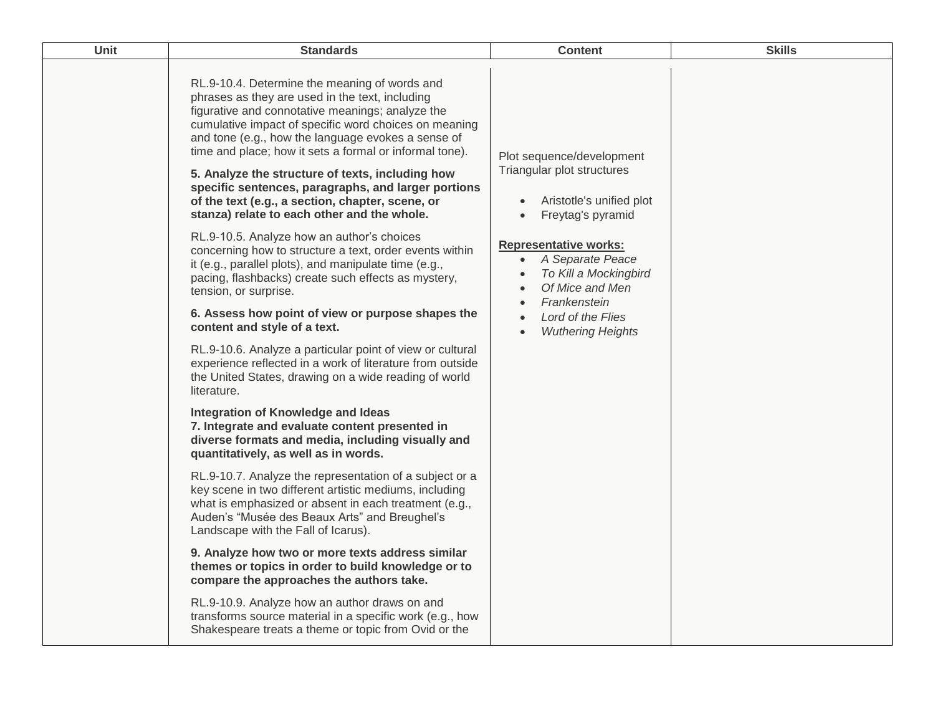| Unit | <b>Standards</b>                                                                                                                                                                                                                                                                                                                                                                                                                                                                                                                                                                                                                                                                                                                                                                                                                                                                                                                                                                                                                                                                                                                                                                                                                                                                                                                                                                                                                                                                                                                                                                                                                                                                                                                                                                                                                                                            | <b>Content</b>                                                                                                                                                                                                                                                                         | <b>Skills</b> |
|------|-----------------------------------------------------------------------------------------------------------------------------------------------------------------------------------------------------------------------------------------------------------------------------------------------------------------------------------------------------------------------------------------------------------------------------------------------------------------------------------------------------------------------------------------------------------------------------------------------------------------------------------------------------------------------------------------------------------------------------------------------------------------------------------------------------------------------------------------------------------------------------------------------------------------------------------------------------------------------------------------------------------------------------------------------------------------------------------------------------------------------------------------------------------------------------------------------------------------------------------------------------------------------------------------------------------------------------------------------------------------------------------------------------------------------------------------------------------------------------------------------------------------------------------------------------------------------------------------------------------------------------------------------------------------------------------------------------------------------------------------------------------------------------------------------------------------------------------------------------------------------------|----------------------------------------------------------------------------------------------------------------------------------------------------------------------------------------------------------------------------------------------------------------------------------------|---------------|
|      | RL.9-10.4. Determine the meaning of words and<br>phrases as they are used in the text, including<br>figurative and connotative meanings; analyze the<br>cumulative impact of specific word choices on meaning<br>and tone (e.g., how the language evokes a sense of<br>time and place; how it sets a formal or informal tone).<br>5. Analyze the structure of texts, including how<br>specific sentences, paragraphs, and larger portions<br>of the text (e.g., a section, chapter, scene, or<br>stanza) relate to each other and the whole.<br>RL.9-10.5. Analyze how an author's choices<br>concerning how to structure a text, order events within<br>it (e.g., parallel plots), and manipulate time (e.g.,<br>pacing, flashbacks) create such effects as mystery,<br>tension, or surprise.<br>6. Assess how point of view or purpose shapes the<br>content and style of a text.<br>RL.9-10.6. Analyze a particular point of view or cultural<br>experience reflected in a work of literature from outside<br>the United States, drawing on a wide reading of world<br>literature.<br>Integration of Knowledge and Ideas<br>7. Integrate and evaluate content presented in<br>diverse formats and media, including visually and<br>quantitatively, as well as in words.<br>RL.9-10.7. Analyze the representation of a subject or a<br>key scene in two different artistic mediums, including<br>what is emphasized or absent in each treatment (e.g.,<br>Auden's "Musée des Beaux Arts" and Breughel's<br>Landscape with the Fall of Icarus).<br>9. Analyze how two or more texts address similar<br>themes or topics in order to build knowledge or to<br>compare the approaches the authors take.<br>RL.9-10.9. Analyze how an author draws on and<br>transforms source material in a specific work (e.g., how<br>Shakespeare treats a theme or topic from Ovid or the | Plot sequence/development<br>Triangular plot structures<br>Aristotle's unified plot<br>Freytag's pyramid<br>$\bullet$<br><b>Representative works:</b><br>A Separate Peace<br>To Kill a Mockingbird<br>Of Mice and Men<br>Frankenstein<br>Lord of the Flies<br><b>Wuthering Heights</b> |               |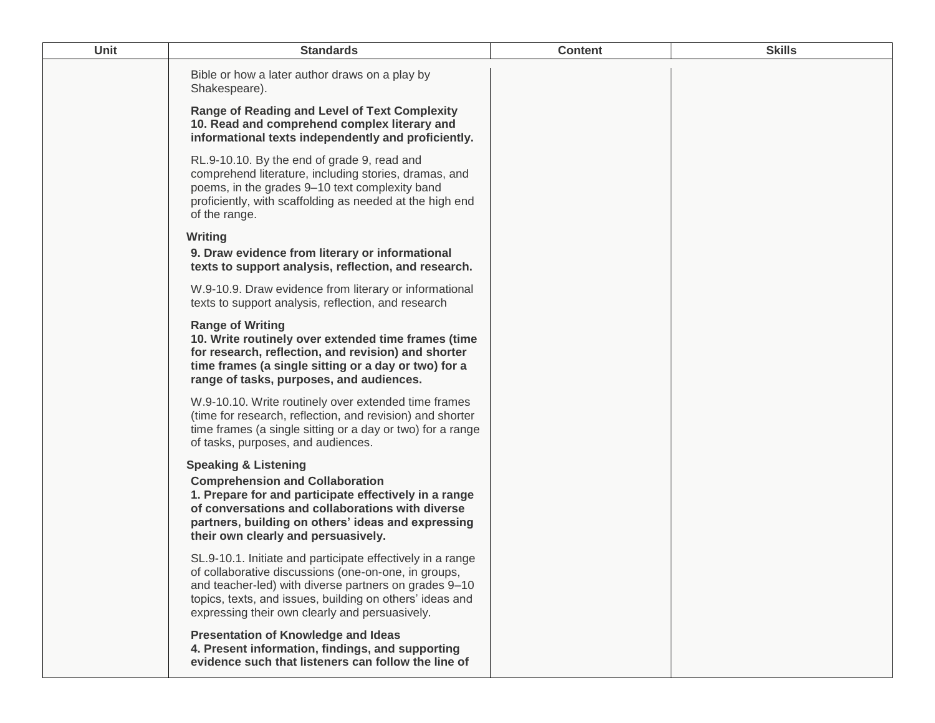| Unit | <b>Standards</b>                                                                                                                                                                                                                                                                          | <b>Content</b> | <b>Skills</b> |
|------|-------------------------------------------------------------------------------------------------------------------------------------------------------------------------------------------------------------------------------------------------------------------------------------------|----------------|---------------|
|      | Bible or how a later author draws on a play by<br>Shakespeare).                                                                                                                                                                                                                           |                |               |
|      | <b>Range of Reading and Level of Text Complexity</b><br>10. Read and comprehend complex literary and<br>informational texts independently and proficiently.                                                                                                                               |                |               |
|      | RL.9-10.10. By the end of grade 9, read and<br>comprehend literature, including stories, dramas, and<br>poems, in the grades 9-10 text complexity band<br>proficiently, with scaffolding as needed at the high end<br>of the range.                                                       |                |               |
|      | <b>Writing</b><br>9. Draw evidence from literary or informational<br>texts to support analysis, reflection, and research.                                                                                                                                                                 |                |               |
|      | W.9-10.9. Draw evidence from literary or informational<br>texts to support analysis, reflection, and research                                                                                                                                                                             |                |               |
|      | <b>Range of Writing</b><br>10. Write routinely over extended time frames (time<br>for research, reflection, and revision) and shorter<br>time frames (a single sitting or a day or two) for a<br>range of tasks, purposes, and audiences.                                                 |                |               |
|      | W.9-10.10. Write routinely over extended time frames<br>(time for research, reflection, and revision) and shorter<br>time frames (a single sitting or a day or two) for a range<br>of tasks, purposes, and audiences.                                                                     |                |               |
|      | <b>Speaking &amp; Listening</b><br><b>Comprehension and Collaboration</b><br>1. Prepare for and participate effectively in a range<br>of conversations and collaborations with diverse<br>partners, building on others' ideas and expressing<br>their own clearly and persuasively.       |                |               |
|      | SL.9-10.1. Initiate and participate effectively in a range<br>of collaborative discussions (one-on-one, in groups,<br>and teacher-led) with diverse partners on grades 9-10<br>topics, texts, and issues, building on others' ideas and<br>expressing their own clearly and persuasively. |                |               |
|      | <b>Presentation of Knowledge and Ideas</b><br>4. Present information, findings, and supporting<br>evidence such that listeners can follow the line of                                                                                                                                     |                |               |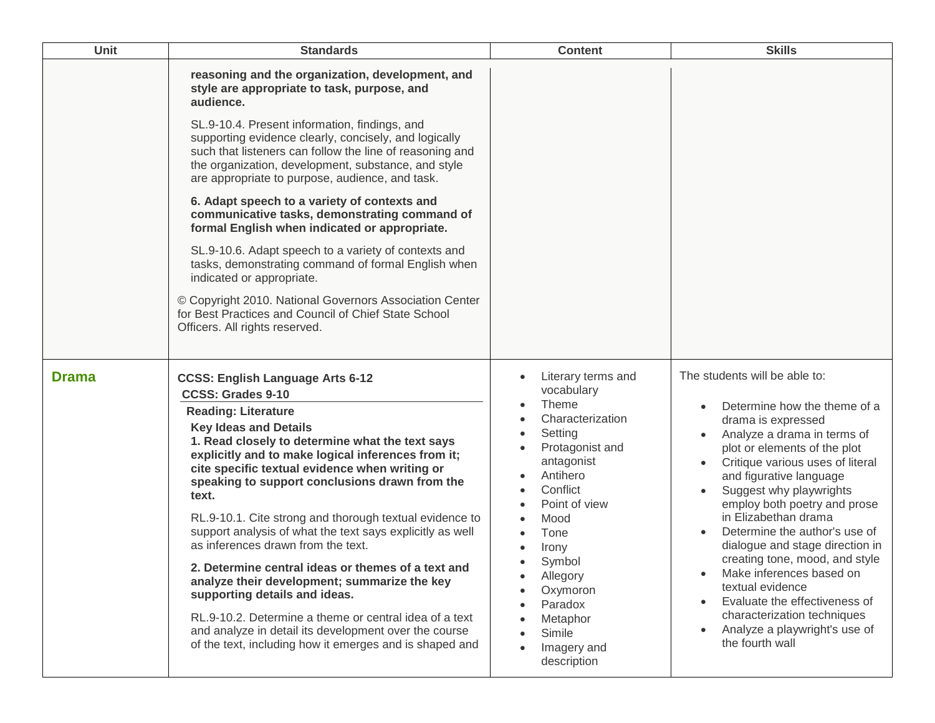| Unit         | <b>Standards</b>                                                                                                                                                                                                                                                                                                                                                                                                                                                                                                                                                                                                                                                                                                                                                                                                                           | <b>Content</b>                                                                                                                                                                                                                                                                      | <b>Skills</b>                                                                                                                                                                                                                                                                                                                                                                                                                                                                                                                                                                  |
|--------------|--------------------------------------------------------------------------------------------------------------------------------------------------------------------------------------------------------------------------------------------------------------------------------------------------------------------------------------------------------------------------------------------------------------------------------------------------------------------------------------------------------------------------------------------------------------------------------------------------------------------------------------------------------------------------------------------------------------------------------------------------------------------------------------------------------------------------------------------|-------------------------------------------------------------------------------------------------------------------------------------------------------------------------------------------------------------------------------------------------------------------------------------|--------------------------------------------------------------------------------------------------------------------------------------------------------------------------------------------------------------------------------------------------------------------------------------------------------------------------------------------------------------------------------------------------------------------------------------------------------------------------------------------------------------------------------------------------------------------------------|
|              | reasoning and the organization, development, and<br>style are appropriate to task, purpose, and<br>audience.<br>SL.9-10.4. Present information, findings, and<br>supporting evidence clearly, concisely, and logically<br>such that listeners can follow the line of reasoning and<br>the organization, development, substance, and style<br>are appropriate to purpose, audience, and task.                                                                                                                                                                                                                                                                                                                                                                                                                                               |                                                                                                                                                                                                                                                                                     |                                                                                                                                                                                                                                                                                                                                                                                                                                                                                                                                                                                |
|              | 6. Adapt speech to a variety of contexts and<br>communicative tasks, demonstrating command of<br>formal English when indicated or appropriate.                                                                                                                                                                                                                                                                                                                                                                                                                                                                                                                                                                                                                                                                                             |                                                                                                                                                                                                                                                                                     |                                                                                                                                                                                                                                                                                                                                                                                                                                                                                                                                                                                |
|              | SL.9-10.6. Adapt speech to a variety of contexts and<br>tasks, demonstrating command of formal English when<br>indicated or appropriate.                                                                                                                                                                                                                                                                                                                                                                                                                                                                                                                                                                                                                                                                                                   |                                                                                                                                                                                                                                                                                     |                                                                                                                                                                                                                                                                                                                                                                                                                                                                                                                                                                                |
|              | © Copyright 2010. National Governors Association Center<br>for Best Practices and Council of Chief State School<br>Officers. All rights reserved.                                                                                                                                                                                                                                                                                                                                                                                                                                                                                                                                                                                                                                                                                          |                                                                                                                                                                                                                                                                                     |                                                                                                                                                                                                                                                                                                                                                                                                                                                                                                                                                                                |
| <b>Drama</b> | <b>CCSS: English Language Arts 6-12</b><br><b>CCSS: Grades 9-10</b><br><b>Reading: Literature</b><br><b>Key Ideas and Details</b><br>1. Read closely to determine what the text says<br>explicitly and to make logical inferences from it;<br>cite specific textual evidence when writing or<br>speaking to support conclusions drawn from the<br>text.<br>RL.9-10.1. Cite strong and thorough textual evidence to<br>support analysis of what the text says explicitly as well<br>as inferences drawn from the text.<br>2. Determine central ideas or themes of a text and<br>analyze their development; summarize the key<br>supporting details and ideas.<br>RL.9-10.2. Determine a theme or central idea of a text<br>and analyze in detail its development over the course<br>of the text, including how it emerges and is shaped and | Literary terms and<br>vocabulary<br><b>Theme</b><br>Characterization<br>Setting<br>Protagonist and<br>antagonist<br>Antihero<br>Conflict<br>Point of view<br>Mood<br>Tone<br>Irony<br>Symbol<br>Allegory<br>Oxymoron<br>Paradox<br>Metaphor<br>Simile<br>Imagery and<br>description | The students will be able to:<br>Determine how the theme of a<br>drama is expressed<br>Analyze a drama in terms of<br>plot or elements of the plot<br>Critique various uses of literal<br>and figurative language<br>Suggest why playwrights<br>employ both poetry and prose<br>in Elizabethan drama<br>Determine the author's use of<br>dialogue and stage direction in<br>creating tone, mood, and style<br>Make inferences based on<br>textual evidence<br>Evaluate the effectiveness of<br>characterization techniques<br>Analyze a playwright's use of<br>the fourth wall |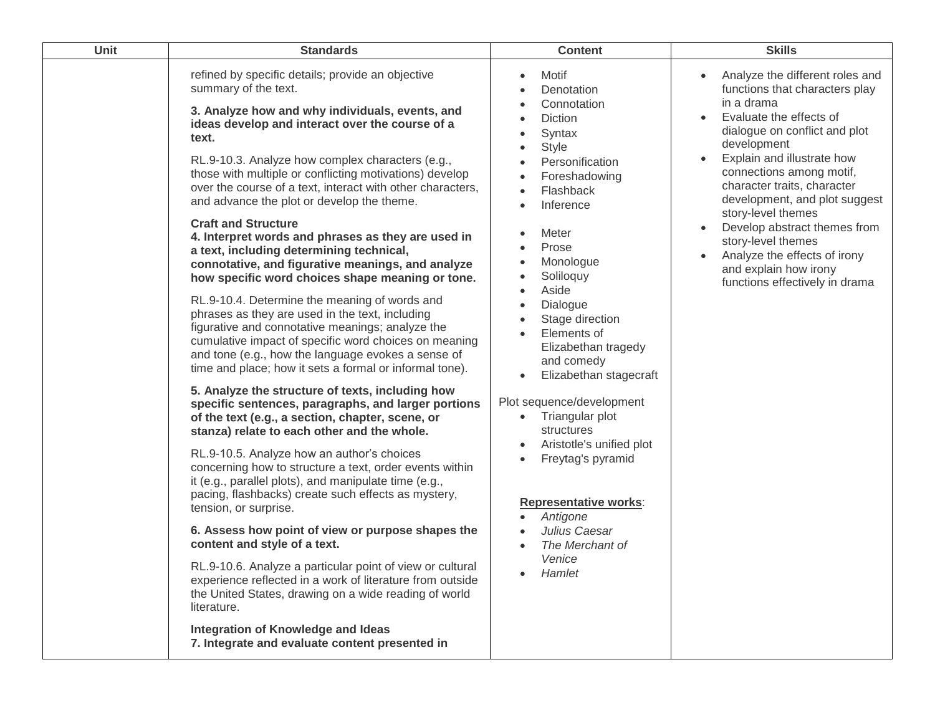| <b>Unit</b><br><b>Standards</b>                                                                                                                                                                                                                                                                                                                                                                                                                                                                                                                                                                                                                                                                                                                                                                                                                                                                                                                                                                                                                                                                                                                                                                                                                                                                                                                                                                                                                                                                                                                                                                                                                                                                                                                                                                                                               | <b>Content</b>                                                                                                                                                                                                                                                                                                                                                                                                                                                                                                                                                                 | <b>Skills</b>                                                                                                                                                                                                                                                                                                                                                                                                                                                                         |
|-----------------------------------------------------------------------------------------------------------------------------------------------------------------------------------------------------------------------------------------------------------------------------------------------------------------------------------------------------------------------------------------------------------------------------------------------------------------------------------------------------------------------------------------------------------------------------------------------------------------------------------------------------------------------------------------------------------------------------------------------------------------------------------------------------------------------------------------------------------------------------------------------------------------------------------------------------------------------------------------------------------------------------------------------------------------------------------------------------------------------------------------------------------------------------------------------------------------------------------------------------------------------------------------------------------------------------------------------------------------------------------------------------------------------------------------------------------------------------------------------------------------------------------------------------------------------------------------------------------------------------------------------------------------------------------------------------------------------------------------------------------------------------------------------------------------------------------------------|--------------------------------------------------------------------------------------------------------------------------------------------------------------------------------------------------------------------------------------------------------------------------------------------------------------------------------------------------------------------------------------------------------------------------------------------------------------------------------------------------------------------------------------------------------------------------------|---------------------------------------------------------------------------------------------------------------------------------------------------------------------------------------------------------------------------------------------------------------------------------------------------------------------------------------------------------------------------------------------------------------------------------------------------------------------------------------|
| refined by specific details; provide an objective<br>summary of the text.<br>3. Analyze how and why individuals, events, and<br>ideas develop and interact over the course of a<br>text.<br>RL.9-10.3. Analyze how complex characters (e.g.,<br>those with multiple or conflicting motivations) develop<br>over the course of a text, interact with other characters,<br>and advance the plot or develop the theme.<br><b>Craft and Structure</b><br>4. Interpret words and phrases as they are used in<br>a text, including determining technical,<br>connotative, and figurative meanings, and analyze<br>how specific word choices shape meaning or tone.<br>RL.9-10.4. Determine the meaning of words and<br>phrases as they are used in the text, including<br>figurative and connotative meanings; analyze the<br>cumulative impact of specific word choices on meaning<br>and tone (e.g., how the language evokes a sense of<br>time and place; how it sets a formal or informal tone).<br>5. Analyze the structure of texts, including how<br>specific sentences, paragraphs, and larger portions<br>of the text (e.g., a section, chapter, scene, or<br>stanza) relate to each other and the whole.<br>RL.9-10.5. Analyze how an author's choices<br>concerning how to structure a text, order events within<br>it (e.g., parallel plots), and manipulate time (e.g.,<br>pacing, flashbacks) create such effects as mystery,<br>tension, or surprise.<br>6. Assess how point of view or purpose shapes the<br>content and style of a text.<br>RL.9-10.6. Analyze a particular point of view or cultural<br>experience reflected in a work of literature from outside<br>the United States, drawing on a wide reading of world<br>literature.<br>Integration of Knowledge and Ideas<br>7. Integrate and evaluate content presented in | Motif<br>Denotation<br>Connotation<br>Diction<br>Syntax<br><b>Style</b><br>Personification<br>Foreshadowing<br>Flashback<br>Inference<br>Meter<br>Prose<br>Monologue<br>Soliloquy<br>Aside<br>Dialogue<br>Stage direction<br>Elements of<br>$\bullet$<br>Elizabethan tragedy<br>and comedy<br>Elizabethan stagecraft<br>$\bullet$<br>Plot sequence/development<br>Triangular plot<br>$\bullet$<br>structures<br>Aristotle's unified plot<br>Freytag's pyramid<br><b>Representative works:</b><br>Antigone<br>Julius Caesar<br>The Merchant of<br>Venice<br>Hamlet<br>$\bullet$ | Analyze the different roles and<br>functions that characters play<br>in a drama<br>Evaluate the effects of<br>$\bullet$<br>dialogue on conflict and plot<br>development<br>Explain and illustrate how<br>connections among motif,<br>character traits, character<br>development, and plot suggest<br>story-level themes<br>Develop abstract themes from<br>story-level themes<br>Analyze the effects of irony<br>$\bullet$<br>and explain how irony<br>functions effectively in drama |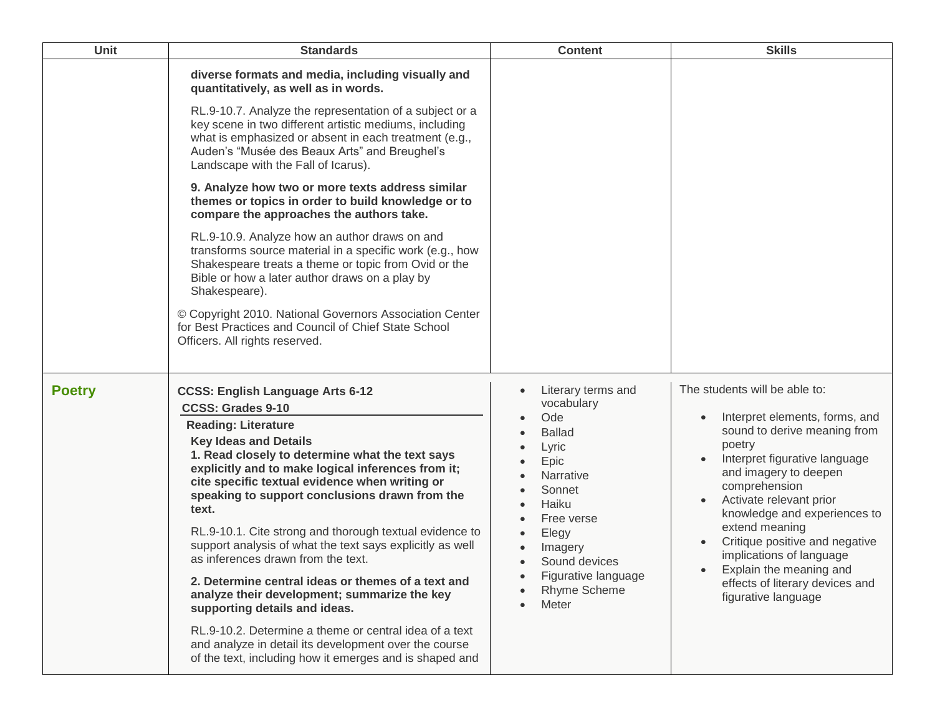| Unit          | <b>Standards</b>                                                                                                                                                                                                                                                                                                                                                                                                                                                                                                                                                                                                                                                                                                                                                                                                                           | <b>Content</b>                                                                                                                                                                                                             | <b>Skills</b>                                                                                                                                                                                                                                                                                                                                                                                                        |
|---------------|--------------------------------------------------------------------------------------------------------------------------------------------------------------------------------------------------------------------------------------------------------------------------------------------------------------------------------------------------------------------------------------------------------------------------------------------------------------------------------------------------------------------------------------------------------------------------------------------------------------------------------------------------------------------------------------------------------------------------------------------------------------------------------------------------------------------------------------------|----------------------------------------------------------------------------------------------------------------------------------------------------------------------------------------------------------------------------|----------------------------------------------------------------------------------------------------------------------------------------------------------------------------------------------------------------------------------------------------------------------------------------------------------------------------------------------------------------------------------------------------------------------|
|               | diverse formats and media, including visually and<br>quantitatively, as well as in words.<br>RL.9-10.7. Analyze the representation of a subject or a<br>key scene in two different artistic mediums, including<br>what is emphasized or absent in each treatment (e.g.,<br>Auden's "Musée des Beaux Arts" and Breughel's<br>Landscape with the Fall of Icarus).                                                                                                                                                                                                                                                                                                                                                                                                                                                                            |                                                                                                                                                                                                                            |                                                                                                                                                                                                                                                                                                                                                                                                                      |
|               | 9. Analyze how two or more texts address similar<br>themes or topics in order to build knowledge or to<br>compare the approaches the authors take.                                                                                                                                                                                                                                                                                                                                                                                                                                                                                                                                                                                                                                                                                         |                                                                                                                                                                                                                            |                                                                                                                                                                                                                                                                                                                                                                                                                      |
|               | RL.9-10.9. Analyze how an author draws on and<br>transforms source material in a specific work (e.g., how<br>Shakespeare treats a theme or topic from Ovid or the<br>Bible or how a later author draws on a play by<br>Shakespeare).                                                                                                                                                                                                                                                                                                                                                                                                                                                                                                                                                                                                       |                                                                                                                                                                                                                            |                                                                                                                                                                                                                                                                                                                                                                                                                      |
|               | © Copyright 2010. National Governors Association Center<br>for Best Practices and Council of Chief State School<br>Officers. All rights reserved.                                                                                                                                                                                                                                                                                                                                                                                                                                                                                                                                                                                                                                                                                          |                                                                                                                                                                                                                            |                                                                                                                                                                                                                                                                                                                                                                                                                      |
| <b>Poetry</b> | <b>CCSS: English Language Arts 6-12</b><br><b>CCSS: Grades 9-10</b><br><b>Reading: Literature</b><br><b>Key Ideas and Details</b><br>1. Read closely to determine what the text says<br>explicitly and to make logical inferences from it;<br>cite specific textual evidence when writing or<br>speaking to support conclusions drawn from the<br>text.<br>RL.9-10.1. Cite strong and thorough textual evidence to<br>support analysis of what the text says explicitly as well<br>as inferences drawn from the text.<br>2. Determine central ideas or themes of a text and<br>analyze their development; summarize the key<br>supporting details and ideas.<br>RL.9-10.2. Determine a theme or central idea of a text<br>and analyze in detail its development over the course<br>of the text, including how it emerges and is shaped and | Literary terms and<br>vocabulary<br>Ode<br><b>Ballad</b><br>Lyric<br>Epic<br><b>Narrative</b><br>Sonnet<br>Haiku<br>Free verse<br>Elegy<br>Imagery<br>Sound devices<br>Figurative language<br><b>Rhyme Scheme</b><br>Meter | The students will be able to:<br>Interpret elements, forms, and<br>sound to derive meaning from<br>poetry<br>Interpret figurative language<br>and imagery to deepen<br>comprehension<br>Activate relevant prior<br>knowledge and experiences to<br>extend meaning<br>Critique positive and negative<br>implications of language<br>Explain the meaning and<br>effects of literary devices and<br>figurative language |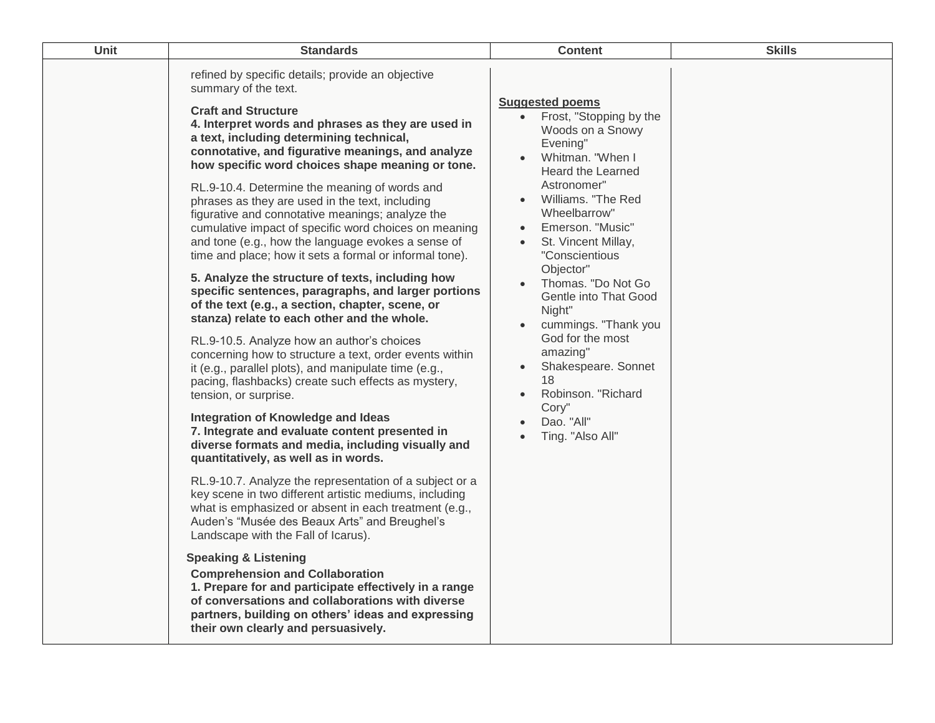| Unit | <b>Standards</b>                                                                                                                                                                                                                                                                                                                                                                                                                                                                                                                                                                                                                                                                                                                                                                                                                                                                                                                                                                                                                                                                                                                                                                                                                                                                                                                                                                                                                                                                                                                                                                                                                                                                                                                                                                                                                                                       | <b>Content</b>                                                                                                                                                                                                                                                                                                                                                                                                                                                                                                  | <b>Skills</b> |
|------|------------------------------------------------------------------------------------------------------------------------------------------------------------------------------------------------------------------------------------------------------------------------------------------------------------------------------------------------------------------------------------------------------------------------------------------------------------------------------------------------------------------------------------------------------------------------------------------------------------------------------------------------------------------------------------------------------------------------------------------------------------------------------------------------------------------------------------------------------------------------------------------------------------------------------------------------------------------------------------------------------------------------------------------------------------------------------------------------------------------------------------------------------------------------------------------------------------------------------------------------------------------------------------------------------------------------------------------------------------------------------------------------------------------------------------------------------------------------------------------------------------------------------------------------------------------------------------------------------------------------------------------------------------------------------------------------------------------------------------------------------------------------------------------------------------------------------------------------------------------------|-----------------------------------------------------------------------------------------------------------------------------------------------------------------------------------------------------------------------------------------------------------------------------------------------------------------------------------------------------------------------------------------------------------------------------------------------------------------------------------------------------------------|---------------|
|      | refined by specific details; provide an objective<br>summary of the text.<br><b>Craft and Structure</b><br>4. Interpret words and phrases as they are used in<br>a text, including determining technical,<br>connotative, and figurative meanings, and analyze<br>how specific word choices shape meaning or tone.<br>RL.9-10.4. Determine the meaning of words and<br>phrases as they are used in the text, including<br>figurative and connotative meanings; analyze the<br>cumulative impact of specific word choices on meaning<br>and tone (e.g., how the language evokes a sense of<br>time and place; how it sets a formal or informal tone).<br>5. Analyze the structure of texts, including how<br>specific sentences, paragraphs, and larger portions<br>of the text (e.g., a section, chapter, scene, or<br>stanza) relate to each other and the whole.<br>RL.9-10.5. Analyze how an author's choices<br>concerning how to structure a text, order events within<br>it (e.g., parallel plots), and manipulate time (e.g.,<br>pacing, flashbacks) create such effects as mystery,<br>tension, or surprise.<br>Integration of Knowledge and Ideas<br>7. Integrate and evaluate content presented in<br>diverse formats and media, including visually and<br>quantitatively, as well as in words.<br>RL.9-10.7. Analyze the representation of a subject or a<br>key scene in two different artistic mediums, including<br>what is emphasized or absent in each treatment (e.g.,<br>Auden's "Musée des Beaux Arts" and Breughel's<br>Landscape with the Fall of Icarus).<br><b>Speaking &amp; Listening</b><br><b>Comprehension and Collaboration</b><br>1. Prepare for and participate effectively in a range<br>of conversations and collaborations with diverse<br>partners, building on others' ideas and expressing<br>their own clearly and persuasively. | <b>Suggested poems</b><br>Frost, "Stopping by the<br>$\bullet$<br>Woods on a Snowy<br>Evening"<br>Whitman. "When I<br>Heard the Learned<br>Astronomer"<br>Williams. "The Red<br>Wheelbarrow"<br>Emerson. "Music"<br>$\bullet$<br>St. Vincent Millay,<br>$\bullet$<br>"Conscientious<br>Objector"<br>Thomas. "Do Not Go<br>Gentle into That Good<br>Night"<br>cummings. "Thank you<br>God for the most<br>amazing"<br>Shakespeare. Sonnet<br>18<br>Robinson. "Richard<br>Cory"<br>Dao. "All"<br>Ting. "Also All" |               |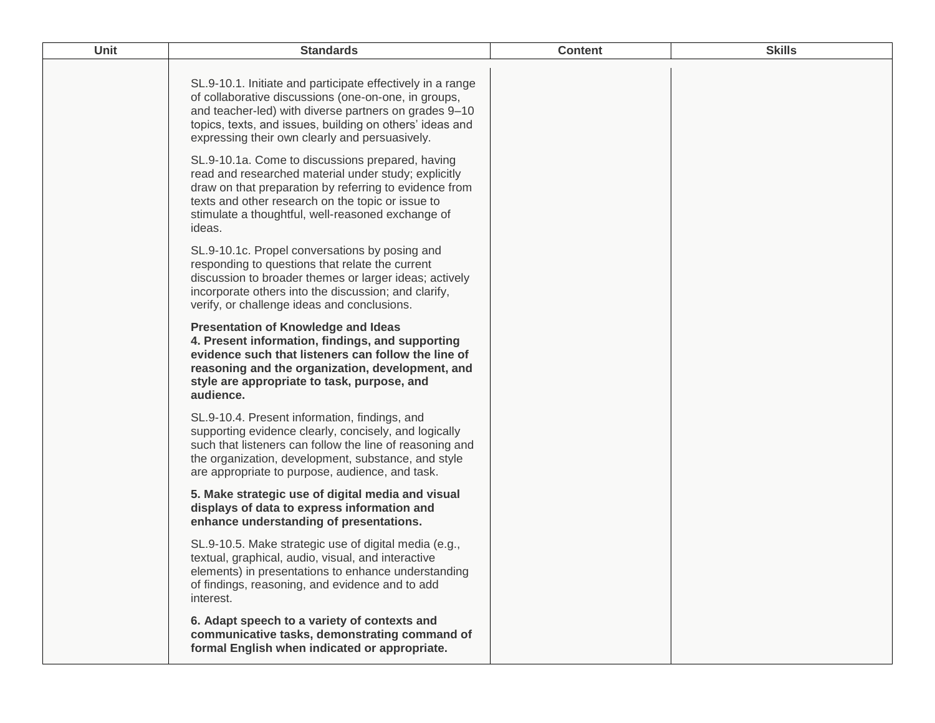| <b>Unit</b> | <b>Standards</b>                                                                                                                                                                                                                                                                          | <b>Content</b> | <b>Skills</b> |
|-------------|-------------------------------------------------------------------------------------------------------------------------------------------------------------------------------------------------------------------------------------------------------------------------------------------|----------------|---------------|
|             | SL.9-10.1. Initiate and participate effectively in a range<br>of collaborative discussions (one-on-one, in groups,<br>and teacher-led) with diverse partners on grades 9-10<br>topics, texts, and issues, building on others' ideas and<br>expressing their own clearly and persuasively. |                |               |
|             | SL.9-10.1a. Come to discussions prepared, having<br>read and researched material under study; explicitly<br>draw on that preparation by referring to evidence from<br>texts and other research on the topic or issue to<br>stimulate a thoughtful, well-reasoned exchange of<br>ideas.    |                |               |
|             | SL.9-10.1c. Propel conversations by posing and<br>responding to questions that relate the current<br>discussion to broader themes or larger ideas; actively<br>incorporate others into the discussion; and clarify,<br>verify, or challenge ideas and conclusions.                        |                |               |
|             | <b>Presentation of Knowledge and Ideas</b><br>4. Present information, findings, and supporting<br>evidence such that listeners can follow the line of<br>reasoning and the organization, development, and<br>style are appropriate to task, purpose, and<br>audience.                     |                |               |
|             | SL.9-10.4. Present information, findings, and<br>supporting evidence clearly, concisely, and logically<br>such that listeners can follow the line of reasoning and<br>the organization, development, substance, and style<br>are appropriate to purpose, audience, and task.              |                |               |
|             | 5. Make strategic use of digital media and visual<br>displays of data to express information and<br>enhance understanding of presentations.                                                                                                                                               |                |               |
|             | SL.9-10.5. Make strategic use of digital media (e.g.,<br>textual, graphical, audio, visual, and interactive<br>elements) in presentations to enhance understanding<br>of findings, reasoning, and evidence and to add<br>interest.                                                        |                |               |
|             | 6. Adapt speech to a variety of contexts and<br>communicative tasks, demonstrating command of<br>formal English when indicated or appropriate.                                                                                                                                            |                |               |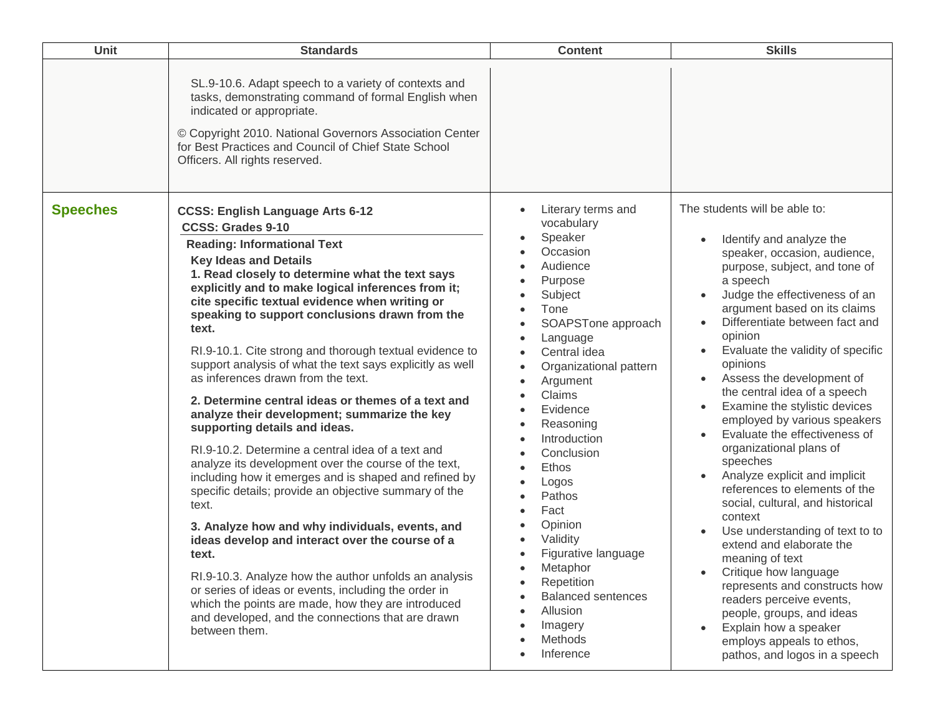| Unit            | <b>Standards</b>                                                                                                                                                                                                                                                                                                                                                                                                                                                                                                                                                                                                                                                                                                                                                                                                                                                                                                                                                                                                                                                                                                                                                                                                                                                         | <b>Content</b>                                                                                                                                                                                                                                                                                                                                                                                                                                     | <b>Skills</b>                                                                                                                                                                                                                                                                                                                                                                                                                                                                                                                                                                                                                                                                                                                                                                                                                                                                                                                         |
|-----------------|--------------------------------------------------------------------------------------------------------------------------------------------------------------------------------------------------------------------------------------------------------------------------------------------------------------------------------------------------------------------------------------------------------------------------------------------------------------------------------------------------------------------------------------------------------------------------------------------------------------------------------------------------------------------------------------------------------------------------------------------------------------------------------------------------------------------------------------------------------------------------------------------------------------------------------------------------------------------------------------------------------------------------------------------------------------------------------------------------------------------------------------------------------------------------------------------------------------------------------------------------------------------------|----------------------------------------------------------------------------------------------------------------------------------------------------------------------------------------------------------------------------------------------------------------------------------------------------------------------------------------------------------------------------------------------------------------------------------------------------|---------------------------------------------------------------------------------------------------------------------------------------------------------------------------------------------------------------------------------------------------------------------------------------------------------------------------------------------------------------------------------------------------------------------------------------------------------------------------------------------------------------------------------------------------------------------------------------------------------------------------------------------------------------------------------------------------------------------------------------------------------------------------------------------------------------------------------------------------------------------------------------------------------------------------------------|
|                 | SL.9-10.6. Adapt speech to a variety of contexts and<br>tasks, demonstrating command of formal English when<br>indicated or appropriate.<br>© Copyright 2010. National Governors Association Center<br>for Best Practices and Council of Chief State School<br>Officers. All rights reserved.                                                                                                                                                                                                                                                                                                                                                                                                                                                                                                                                                                                                                                                                                                                                                                                                                                                                                                                                                                            |                                                                                                                                                                                                                                                                                                                                                                                                                                                    |                                                                                                                                                                                                                                                                                                                                                                                                                                                                                                                                                                                                                                                                                                                                                                                                                                                                                                                                       |
| <b>Speeches</b> | <b>CCSS: English Language Arts 6-12</b><br><b>CCSS: Grades 9-10</b><br><b>Reading: Informational Text</b><br><b>Key Ideas and Details</b><br>1. Read closely to determine what the text says<br>explicitly and to make logical inferences from it;<br>cite specific textual evidence when writing or<br>speaking to support conclusions drawn from the<br>text.<br>RI.9-10.1. Cite strong and thorough textual evidence to<br>support analysis of what the text says explicitly as well<br>as inferences drawn from the text.<br>2. Determine central ideas or themes of a text and<br>analyze their development; summarize the key<br>supporting details and ideas.<br>RI.9-10.2. Determine a central idea of a text and<br>analyze its development over the course of the text,<br>including how it emerges and is shaped and refined by<br>specific details; provide an objective summary of the<br>text.<br>3. Analyze how and why individuals, events, and<br>ideas develop and interact over the course of a<br>text.<br>RI.9-10.3. Analyze how the author unfolds an analysis<br>or series of ideas or events, including the order in<br>which the points are made, how they are introduced<br>and developed, and the connections that are drawn<br>between them. | Literary terms and<br>vocabulary<br>Speaker<br>Occasion<br>Audience<br>Purpose<br>Subject<br>Tone<br>SOAPSTone approach<br>Language<br>Central idea<br>Organizational pattern<br>Argument<br>Claims<br>Evidence<br>Reasoning<br>Introduction<br>Conclusion<br>Ethos<br>Logos<br>Pathos<br>Fact<br>Opinion<br>Validity<br>Figurative language<br>Metaphor<br>Repetition<br><b>Balanced sentences</b><br>Allusion<br>Imagery<br>Methods<br>Inference | The students will be able to:<br>Identify and analyze the<br>speaker, occasion, audience,<br>purpose, subject, and tone of<br>a speech<br>Judge the effectiveness of an<br>argument based on its claims<br>Differentiate between fact and<br>$\bullet$<br>opinion<br>Evaluate the validity of specific<br>opinions<br>Assess the development of<br>the central idea of a speech<br>Examine the stylistic devices<br>employed by various speakers<br>Evaluate the effectiveness of<br>organizational plans of<br>speeches<br>Analyze explicit and implicit<br>references to elements of the<br>social, cultural, and historical<br>context<br>Use understanding of text to to<br>extend and elaborate the<br>meaning of text<br>Critique how language<br>represents and constructs how<br>readers perceive events,<br>people, groups, and ideas<br>Explain how a speaker<br>employs appeals to ethos,<br>pathos, and logos in a speech |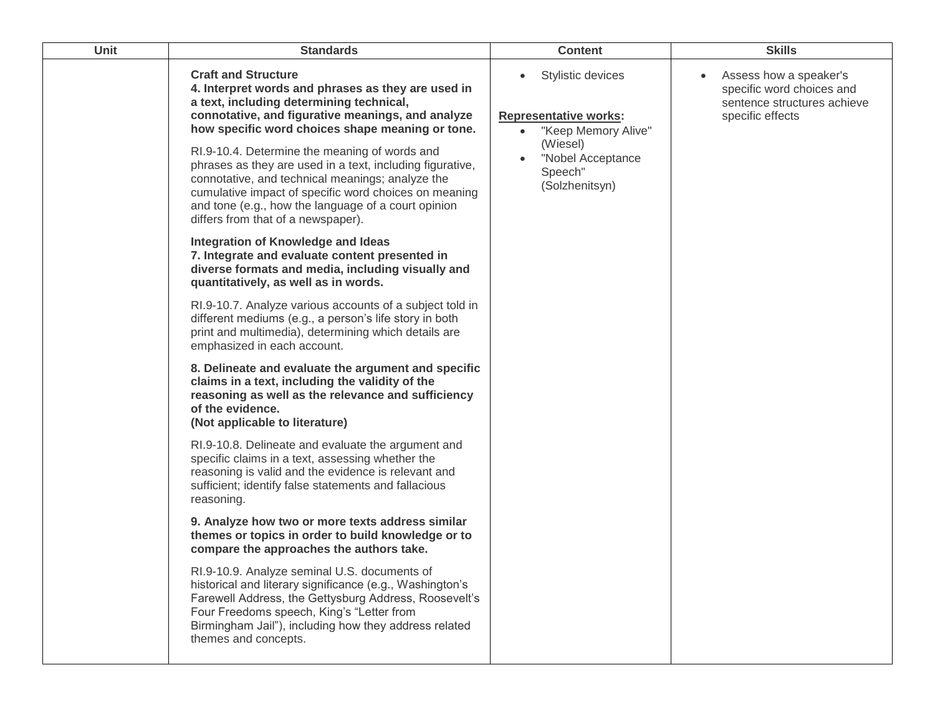| Unit | <b>Standards</b>                                                                                                                                                                                                                                                                                                     | <b>Content</b>                                                                       | <b>Skills</b>                                                                                          |
|------|----------------------------------------------------------------------------------------------------------------------------------------------------------------------------------------------------------------------------------------------------------------------------------------------------------------------|--------------------------------------------------------------------------------------|--------------------------------------------------------------------------------------------------------|
|      | <b>Craft and Structure</b><br>4. Interpret words and phrases as they are used in<br>a text, including determining technical,<br>connotative, and figurative meanings, and analyze<br>how specific word choices shape meaning or tone.                                                                                | Stylistic devices<br><b>Representative works:</b><br>"Keep Memory Alive"<br>(Wiesel) | Assess how a speaker's<br>specific word choices and<br>sentence structures achieve<br>specific effects |
|      | RI.9-10.4. Determine the meaning of words and<br>phrases as they are used in a text, including figurative,<br>connotative, and technical meanings; analyze the<br>cumulative impact of specific word choices on meaning<br>and tone (e.g., how the language of a court opinion<br>differs from that of a newspaper). | "Nobel Acceptance<br>Speech"<br>(Solzhenitsyn)                                       |                                                                                                        |
|      | Integration of Knowledge and Ideas<br>7. Integrate and evaluate content presented in<br>diverse formats and media, including visually and<br>quantitatively, as well as in words.                                                                                                                                    |                                                                                      |                                                                                                        |
|      | RI.9-10.7. Analyze various accounts of a subject told in<br>different mediums (e.g., a person's life story in both<br>print and multimedia), determining which details are<br>emphasized in each account.                                                                                                            |                                                                                      |                                                                                                        |
|      | 8. Delineate and evaluate the argument and specific<br>claims in a text, including the validity of the<br>reasoning as well as the relevance and sufficiency<br>of the evidence.<br>(Not applicable to literature)                                                                                                   |                                                                                      |                                                                                                        |
|      | RI.9-10.8. Delineate and evaluate the argument and<br>specific claims in a text, assessing whether the<br>reasoning is valid and the evidence is relevant and<br>sufficient; identify false statements and fallacious<br>reasoning.                                                                                  |                                                                                      |                                                                                                        |
|      | 9. Analyze how two or more texts address similar<br>themes or topics in order to build knowledge or to<br>compare the approaches the authors take.                                                                                                                                                                   |                                                                                      |                                                                                                        |
|      | RI.9-10.9. Analyze seminal U.S. documents of<br>historical and literary significance (e.g., Washington's<br>Farewell Address, the Gettysburg Address, Roosevelt's<br>Four Freedoms speech, King's "Letter from<br>Birmingham Jail"), including how they address related<br>themes and concepts.                      |                                                                                      |                                                                                                        |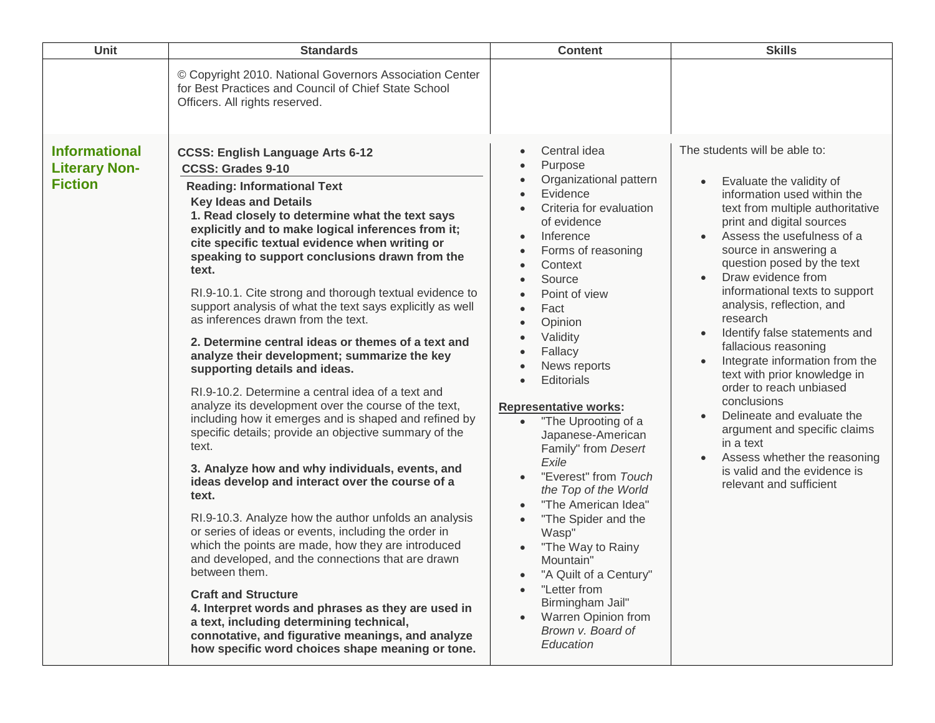| Unit                                                           | <b>Standards</b>                                                                                                                                                                                                                                                                                                                                                                                                                                                                                                                                                                                                                                                                                                                                                                                                                                                                                                                                                                                                                                                                                                                                                                                                                                                                                                                                                                                                                                                                                                  | <b>Content</b>                                                                                                                                                                                                                                                                                                                                                                                                                                                                                                                                                                                                                                                                                                                                                                                                                                              | <b>Skills</b>                                                                                                                                                                                                                                                                                                                                                                                                                                                                                                                                                                                                                                                                                                                                                            |
|----------------------------------------------------------------|-------------------------------------------------------------------------------------------------------------------------------------------------------------------------------------------------------------------------------------------------------------------------------------------------------------------------------------------------------------------------------------------------------------------------------------------------------------------------------------------------------------------------------------------------------------------------------------------------------------------------------------------------------------------------------------------------------------------------------------------------------------------------------------------------------------------------------------------------------------------------------------------------------------------------------------------------------------------------------------------------------------------------------------------------------------------------------------------------------------------------------------------------------------------------------------------------------------------------------------------------------------------------------------------------------------------------------------------------------------------------------------------------------------------------------------------------------------------------------------------------------------------|-------------------------------------------------------------------------------------------------------------------------------------------------------------------------------------------------------------------------------------------------------------------------------------------------------------------------------------------------------------------------------------------------------------------------------------------------------------------------------------------------------------------------------------------------------------------------------------------------------------------------------------------------------------------------------------------------------------------------------------------------------------------------------------------------------------------------------------------------------------|--------------------------------------------------------------------------------------------------------------------------------------------------------------------------------------------------------------------------------------------------------------------------------------------------------------------------------------------------------------------------------------------------------------------------------------------------------------------------------------------------------------------------------------------------------------------------------------------------------------------------------------------------------------------------------------------------------------------------------------------------------------------------|
|                                                                | © Copyright 2010. National Governors Association Center<br>for Best Practices and Council of Chief State School<br>Officers. All rights reserved.                                                                                                                                                                                                                                                                                                                                                                                                                                                                                                                                                                                                                                                                                                                                                                                                                                                                                                                                                                                                                                                                                                                                                                                                                                                                                                                                                                 |                                                                                                                                                                                                                                                                                                                                                                                                                                                                                                                                                                                                                                                                                                                                                                                                                                                             |                                                                                                                                                                                                                                                                                                                                                                                                                                                                                                                                                                                                                                                                                                                                                                          |
| <b>Informational</b><br><b>Literary Non-</b><br><b>Fiction</b> | <b>CCSS: English Language Arts 6-12</b><br><b>CCSS: Grades 9-10</b><br><b>Reading: Informational Text</b><br><b>Key Ideas and Details</b><br>1. Read closely to determine what the text says<br>explicitly and to make logical inferences from it;<br>cite specific textual evidence when writing or<br>speaking to support conclusions drawn from the<br>text.<br>RI.9-10.1. Cite strong and thorough textual evidence to<br>support analysis of what the text says explicitly as well<br>as inferences drawn from the text.<br>2. Determine central ideas or themes of a text and<br>analyze their development; summarize the key<br>supporting details and ideas.<br>RI.9-10.2. Determine a central idea of a text and<br>analyze its development over the course of the text,<br>including how it emerges and is shaped and refined by<br>specific details; provide an objective summary of the<br>text.<br>3. Analyze how and why individuals, events, and<br>ideas develop and interact over the course of a<br>text.<br>RI.9-10.3. Analyze how the author unfolds an analysis<br>or series of ideas or events, including the order in<br>which the points are made, how they are introduced<br>and developed, and the connections that are drawn<br>between them.<br><b>Craft and Structure</b><br>4. Interpret words and phrases as they are used in<br>a text, including determining technical,<br>connotative, and figurative meanings, and analyze<br>how specific word choices shape meaning or tone. | Central idea<br>$\bullet$<br>Purpose<br>$\bullet$<br>Organizational pattern<br>$\bullet$<br>Evidence<br>$\bullet$<br>Criteria for evaluation<br>of evidence<br>Inference<br>$\bullet$<br>Forms of reasoning<br>$\bullet$<br>Context<br>$\bullet$<br>Source<br>Point of view<br>Fact<br>$\bullet$<br>Opinion<br>$\bullet$<br>Validity<br>$\bullet$<br>Fallacy<br>$\bullet$<br>News reports<br>$\bullet$<br><b>Editorials</b><br>$\bullet$<br><b>Representative works:</b><br>"The Uprooting of a<br>$\bullet$<br>Japanese-American<br>Family" from Desert<br>Exile<br>"Everest" from Touch<br>the Top of the World<br>"The American Idea"<br>$\bullet$<br>"The Spider and the<br>$\bullet$<br>Wasp"<br>"The Way to Rainy<br>Mountain"<br>"A Quilt of a Century"<br>"Letter from<br>Birmingham Jail"<br>Warren Opinion from<br>Brown v. Board of<br>Education | The students will be able to:<br>Evaluate the validity of<br>$\bullet$<br>information used within the<br>text from multiple authoritative<br>print and digital sources<br>Assess the usefulness of a<br>source in answering a<br>question posed by the text<br>Draw evidence from<br>$\bullet$<br>informational texts to support<br>analysis, reflection, and<br>research<br>Identify false statements and<br>$\bullet$<br>fallacious reasoning<br>Integrate information from the<br>$\bullet$<br>text with prior knowledge in<br>order to reach unbiased<br>conclusions<br>Delineate and evaluate the<br>$\bullet$<br>argument and specific claims<br>in a text<br>Assess whether the reasoning<br>$\bullet$<br>is valid and the evidence is<br>relevant and sufficient |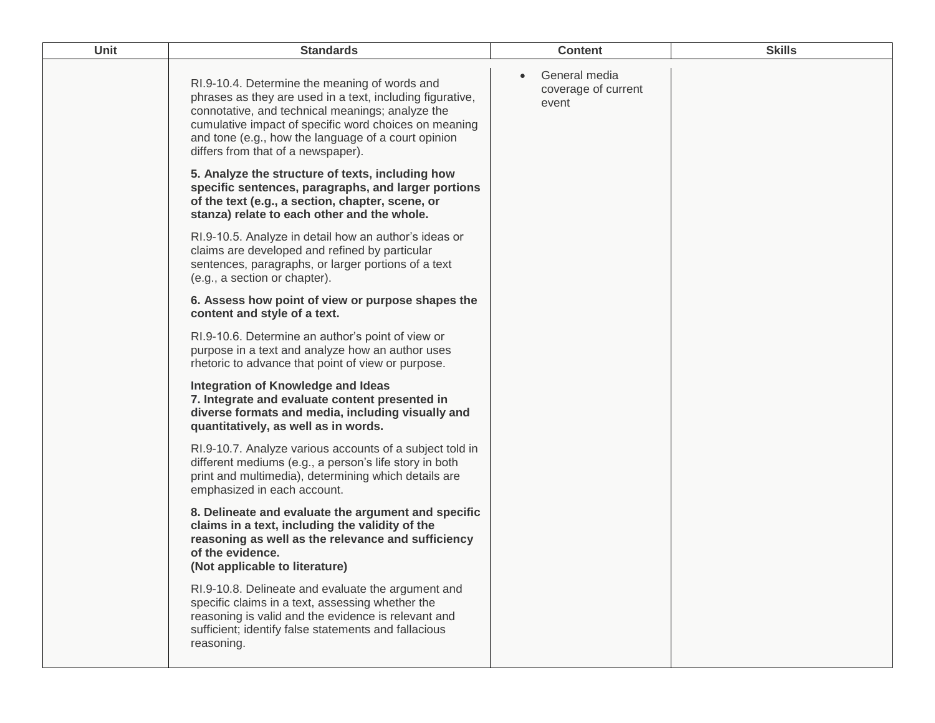| Unit | <b>Standards</b>                                                                                                                                                                                                                                                                                                     | <b>Content</b>                                | <b>Skills</b> |
|------|----------------------------------------------------------------------------------------------------------------------------------------------------------------------------------------------------------------------------------------------------------------------------------------------------------------------|-----------------------------------------------|---------------|
|      | RI.9-10.4. Determine the meaning of words and<br>phrases as they are used in a text, including figurative,<br>connotative, and technical meanings; analyze the<br>cumulative impact of specific word choices on meaning<br>and tone (e.g., how the language of a court opinion<br>differs from that of a newspaper). | General media<br>coverage of current<br>event |               |
|      | 5. Analyze the structure of texts, including how<br>specific sentences, paragraphs, and larger portions<br>of the text (e.g., a section, chapter, scene, or<br>stanza) relate to each other and the whole.                                                                                                           |                                               |               |
|      | RI.9-10.5. Analyze in detail how an author's ideas or<br>claims are developed and refined by particular<br>sentences, paragraphs, or larger portions of a text<br>(e.g., a section or chapter).                                                                                                                      |                                               |               |
|      | 6. Assess how point of view or purpose shapes the<br>content and style of a text.                                                                                                                                                                                                                                    |                                               |               |
|      | RI.9-10.6. Determine an author's point of view or<br>purpose in a text and analyze how an author uses<br>rhetoric to advance that point of view or purpose.                                                                                                                                                          |                                               |               |
|      | Integration of Knowledge and Ideas<br>7. Integrate and evaluate content presented in<br>diverse formats and media, including visually and<br>quantitatively, as well as in words.                                                                                                                                    |                                               |               |
|      | RI.9-10.7. Analyze various accounts of a subject told in<br>different mediums (e.g., a person's life story in both<br>print and multimedia), determining which details are<br>emphasized in each account.                                                                                                            |                                               |               |
|      | 8. Delineate and evaluate the argument and specific<br>claims in a text, including the validity of the<br>reasoning as well as the relevance and sufficiency<br>of the evidence.<br>(Not applicable to literature)                                                                                                   |                                               |               |
|      | RI.9-10.8. Delineate and evaluate the argument and<br>specific claims in a text, assessing whether the<br>reasoning is valid and the evidence is relevant and<br>sufficient; identify false statements and fallacious<br>reasoning.                                                                                  |                                               |               |